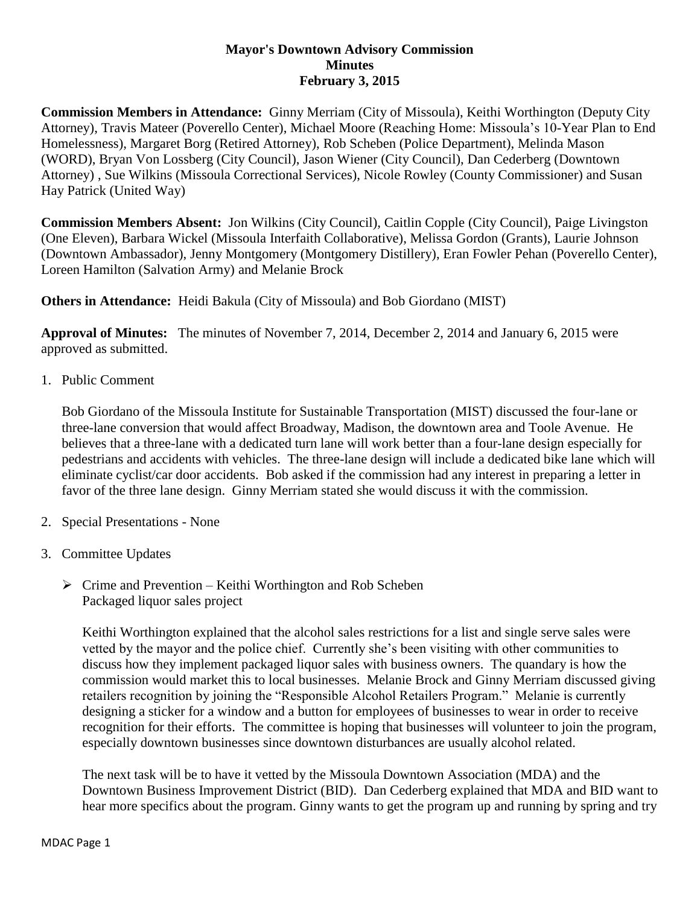## **Mayor's Downtown Advisory Commission Minutes February 3, 2015**

**Commission Members in Attendance:** Ginny Merriam (City of Missoula), Keithi Worthington (Deputy City Attorney), Travis Mateer (Poverello Center), Michael Moore (Reaching Home: Missoula's 10-Year Plan to End Homelessness), Margaret Borg (Retired Attorney), Rob Scheben (Police Department), Melinda Mason (WORD), Bryan Von Lossberg (City Council), Jason Wiener (City Council), Dan Cederberg (Downtown Attorney) , Sue Wilkins (Missoula Correctional Services), Nicole Rowley (County Commissioner) and Susan Hay Patrick (United Way)

**Commission Members Absent:** Jon Wilkins (City Council), Caitlin Copple (City Council), Paige Livingston (One Eleven), Barbara Wickel (Missoula Interfaith Collaborative), Melissa Gordon (Grants), Laurie Johnson (Downtown Ambassador), Jenny Montgomery (Montgomery Distillery), Eran Fowler Pehan (Poverello Center), Loreen Hamilton (Salvation Army) and Melanie Brock

**Others in Attendance:** Heidi Bakula (City of Missoula) and Bob Giordano (MIST)

**Approval of Minutes:** The minutes of November 7, 2014, December 2, 2014 and January 6, 2015 were approved as submitted.

1. Public Comment

Bob Giordano of the Missoula Institute for Sustainable Transportation (MIST) discussed the four-lane or three-lane conversion that would affect Broadway, Madison, the downtown area and Toole Avenue. He believes that a three-lane with a dedicated turn lane will work better than a four-lane design especially for pedestrians and accidents with vehicles. The three-lane design will include a dedicated bike lane which will eliminate cyclist/car door accidents. Bob asked if the commission had any interest in preparing a letter in favor of the three lane design. Ginny Merriam stated she would discuss it with the commission.

- 2. Special Presentations None
- 3. Committee Updates
	- $\triangleright$  Crime and Prevention Keithi Worthington and Rob Scheben Packaged liquor sales project

Keithi Worthington explained that the alcohol sales restrictions for a list and single serve sales were vetted by the mayor and the police chief. Currently she's been visiting with other communities to discuss how they implement packaged liquor sales with business owners. The quandary is how the commission would market this to local businesses. Melanie Brock and Ginny Merriam discussed giving retailers recognition by joining the "Responsible Alcohol Retailers Program." Melanie is currently designing a sticker for a window and a button for employees of businesses to wear in order to receive recognition for their efforts. The committee is hoping that businesses will volunteer to join the program, especially downtown businesses since downtown disturbances are usually alcohol related.

The next task will be to have it vetted by the Missoula Downtown Association (MDA) and the Downtown Business Improvement District (BID). Dan Cederberg explained that MDA and BID want to hear more specifics about the program. Ginny wants to get the program up and running by spring and try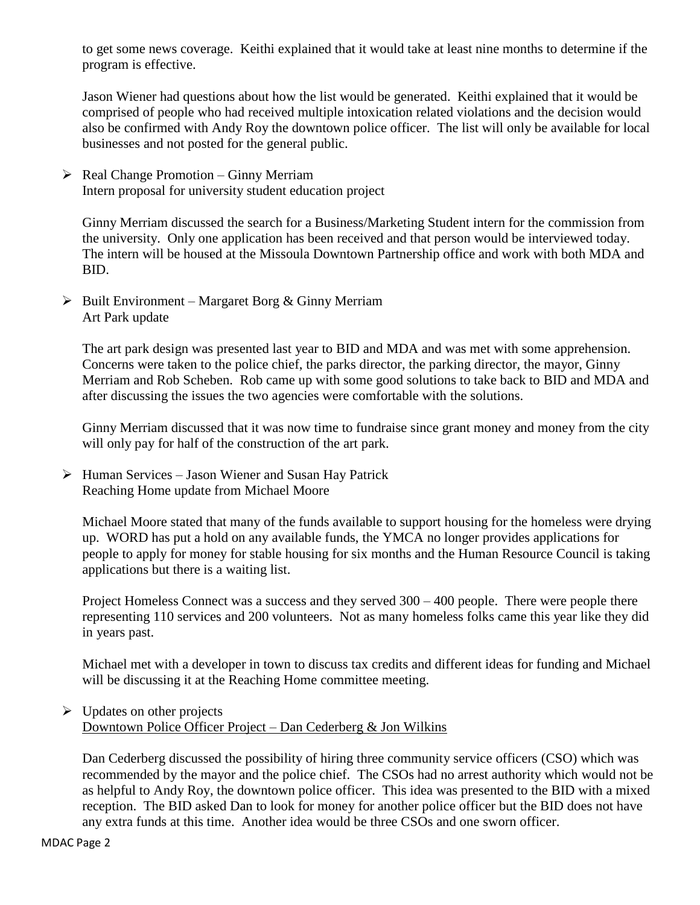to get some news coverage. Keithi explained that it would take at least nine months to determine if the program is effective.

Jason Wiener had questions about how the list would be generated. Keithi explained that it would be comprised of people who had received multiple intoxication related violations and the decision would also be confirmed with Andy Roy the downtown police officer. The list will only be available for local businesses and not posted for the general public.

 $\triangleright$  Real Change Promotion – Ginny Merriam Intern proposal for university student education project

Ginny Merriam discussed the search for a Business/Marketing Student intern for the commission from the university. Only one application has been received and that person would be interviewed today. The intern will be housed at the Missoula Downtown Partnership office and work with both MDA and BID.

 $\triangleright$  Built Environment – Margaret Borg & Ginny Merriam Art Park update

The art park design was presented last year to BID and MDA and was met with some apprehension. Concerns were taken to the police chief, the parks director, the parking director, the mayor, Ginny Merriam and Rob Scheben. Rob came up with some good solutions to take back to BID and MDA and after discussing the issues the two agencies were comfortable with the solutions.

Ginny Merriam discussed that it was now time to fundraise since grant money and money from the city will only pay for half of the construction of the art park.

 $\triangleright$  Human Services – Jason Wiener and Susan Hay Patrick Reaching Home update from Michael Moore

Michael Moore stated that many of the funds available to support housing for the homeless were drying up. WORD has put a hold on any available funds, the YMCA no longer provides applications for people to apply for money for stable housing for six months and the Human Resource Council is taking applications but there is a waiting list.

Project Homeless Connect was a success and they served 300 – 400 people. There were people there representing 110 services and 200 volunteers. Not as many homeless folks came this year like they did in years past.

Michael met with a developer in town to discuss tax credits and different ideas for funding and Michael will be discussing it at the Reaching Home committee meeting.

## $\triangleright$  Updates on other projects Downtown Police Officer Project – Dan Cederberg & Jon Wilkins

Dan Cederberg discussed the possibility of hiring three community service officers (CSO) which was recommended by the mayor and the police chief. The CSOs had no arrest authority which would not be as helpful to Andy Roy, the downtown police officer. This idea was presented to the BID with a mixed reception. The BID asked Dan to look for money for another police officer but the BID does not have any extra funds at this time. Another idea would be three CSOs and one sworn officer.